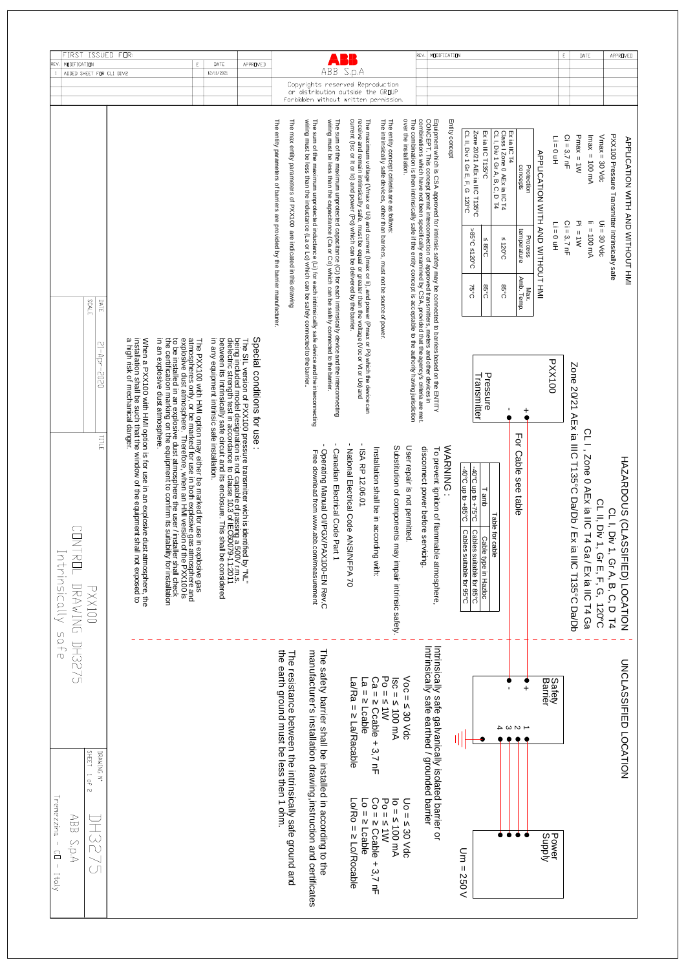| $\frac{1}{2}$<br>$\sigma$                                                                               | Ninsically                                                                                                                                                                                                                                                                                                  |                                                                                                               |                                                       |                                 |                                                                                                                                                                                                                                                                                                                                                                                                                                        |                                                                                                                             | REV                   |
|---------------------------------------------------------------------------------------------------------|-------------------------------------------------------------------------------------------------------------------------------------------------------------------------------------------------------------------------------------------------------------------------------------------------------------|---------------------------------------------------------------------------------------------------------------|-------------------------------------------------------|---------------------------------|----------------------------------------------------------------------------------------------------------------------------------------------------------------------------------------------------------------------------------------------------------------------------------------------------------------------------------------------------------------------------------------------------------------------------------------|-----------------------------------------------------------------------------------------------------------------------------|-----------------------|
| <b>DH3275</b>                                                                                           | <b>NTRUL</b><br>DRAKTNU                                                                                                                                                                                                                                                                                     |                                                                                                               |                                                       |                                 |                                                                                                                                                                                                                                                                                                                                                                                                                                        | ADDED SHEET FOR CL1 DIV2                                                                                                    | FIRST<br>MODIFICATION |
| DRAWING N<br>SHEET 1                                                                                    | <b>PXX100</b>                                                                                                                                                                                                                                                                                               | $21 -$ Apr-<br>0202<br><b>TILL</b>                                                                            | SCALE<br>DATE                                         |                                 |                                                                                                                                                                                                                                                                                                                                                                                                                                        |                                                                                                                             |                       |
|                                                                                                         | When a PXX100 with HMI option is for use in an explosive dust atmosphere, the<br>installation shall be such that the window of the equipment shall not exposed to                                                                                                                                           | a high risk of mechanical danger.                                                                             |                                                       |                                 |                                                                                                                                                                                                                                                                                                                                                                                                                                        |                                                                                                                             | ISSUED FOR            |
|                                                                                                         | to be installed in an explosive dust atmosphere the user/ installer shall check<br>the certification marking on the equipment to confirm its suitability for installation                                                                                                                                   | in an explosive dust<br>atmosphere.                                                                           |                                                       |                                 |                                                                                                                                                                                                                                                                                                                                                                                                                                        |                                                                                                                             |                       |
|                                                                                                         | The PXX100 with HMI option may either be marked for use in explosive gas<br>atmospheres only, or be marked for use in both explosive gas atmosphere and<br>explosive dust atmosphere. Therefore, when an HMI version of the PXX100 i                                                                        |                                                                                                               |                                                       |                                 |                                                                                                                                                                                                                                                                                                                                                                                                                                        |                                                                                                                             | E                     |
|                                                                                                         | between its lattinuional paral is enclosure. This shall be considered<br>The SIL version of PXX100 pressure transmitter wich is identified by "NL"<br>being included model designation is not capable of passing a 500V r.m.s.<br>dielectric strength test in accordance to clause 10.3 of IEC60079-11:2011 | in any equipment in<br>trinsic safe installation.                                                             |                                                       |                                 |                                                                                                                                                                                                                                                                                                                                                                                                                                        | 12/11/2021                                                                                                                  | DATE                  |
|                                                                                                         |                                                                                                                                                                                                                                                                                                             | Special conditions for use :                                                                                  |                                                       |                                 |                                                                                                                                                                                                                                                                                                                                                                                                                                        |                                                                                                                             | APPROVED              |
|                                                                                                         |                                                                                                                                                                                                                                                                                                             |                                                                                                               | of barriers are provided by the barrier manufacturer. |                                 | The entity parameters                                                                                                                                                                                                                                                                                                                                                                                                                  |                                                                                                                             |                       |
| The resistance between the in<br>the earth ground must be less                                          |                                                                                                                                                                                                                                                                                                             |                                                                                                               |                                                       |                                 | The max entity parameters of PXX100 are indicated in this drawing                                                                                                                                                                                                                                                                                                                                                                      |                                                                                                                             |                       |
| The safety barrier shall be inst<br>manufacturer's installation dra                                     | Tree download from www.abb.com/measurement                                                                                                                                                                                                                                                                  | The sum of the maximum unprotected inductance (Li) for each intrinsically safe device and the interconnecting |                                                       |                                 | wiring must be less than the inductance (La or Lo) which can be safely connected to the barrier                                                                                                                                                                                                                                                                                                                                        |                                                                                                                             |                       |
|                                                                                                         | Canadian Electrical Code Part 1<br>Operating Manual OI/PGX/PAX100-EN Rev.C                                                                                                                                                                                                                                  |                                                                                                               |                                                       |                                 | The sum of the maximum unprotected capacitance (Ci) for each intrinsically device and the interconnecting<br>wiring must be less than the capacitance (Ca or Co) which can be safely connected to the barrier.                                                                                                                                                                                                                         |                                                                                                                             |                       |
| La/Ra = z La/Racable<br>$a = 5$ Lcable                                                                  | - National Mectrical Code ANSI/NFPA 70<br>ISA RP 12.06.01                                                                                                                                                                                                                                                   |                                                                                                               |                                                       |                                 | The maximum voltage (Vmax or Ui) and current (Imax or II), and power (Pmax or Pi) which the device can<br>receive and remain intrinsically safe, must be equal or greater than the voltage (Voc or Vt or Uo) and<br>current (Isc or                                                                                                                                                                                                    | ABB S.p.A<br>Copyrights reserved Reproduction<br>or distribution outside the GROUP<br>forbidden without written permission. |                       |
| $20 = 10$<br>$Ca = 5$<br>Ccable<br>$+3.7$ nF                                                            | Installation shall be in according with:                                                                                                                                                                                                                                                                    |                                                                                                               |                                                       |                                 | The intrinsically safe devices, other than barriers, must not be source of power.                                                                                                                                                                                                                                                                                                                                                      |                                                                                                                             |                       |
| $= 5$<br>IV<br><b>100 mA</b>                                                                            | Substitution of components may impair intrinsic safety.                                                                                                                                                                                                                                                     |                                                                                                               |                                                       |                                 | over the installation.<br>The entity concept criteria are as follows                                                                                                                                                                                                                                                                                                                                                                   |                                                                                                                             |                       |
| Intrinsically safe galvanically isc<br>Intrinsically safe earthed / grour<br>$\sqrt{50} = 30 \sqrt{40}$ | User repair is not permitted<br>disconnect power before servicing.<br>To prevent ignition of flammable atmosphere                                                                                                                                                                                           | diction<br>e met.                                                                                             |                                                       |                                 | Equipment which is CSA approved for intrinsic stately may be connected to barriers based on the ENTITY<br>The combination is then intrinsically safe if the entity concept is acceptable to the authority having jurise<br>CONCEPT. This concept permit interconnection of approved transmitters, meters and other devices in<br>combinations which have not been specifically examined by CSA, provided that the agency's criteria ar |                                                                                                                             | REV.                  |
|                                                                                                         | WARNING:                                                                                                                                                                                                                                                                                                    |                                                                                                               |                                                       |                                 | Entity concept                                                                                                                                                                                                                                                                                                                                                                                                                         |                                                                                                                             | MODIFICATION          |
|                                                                                                         | 0.58+ on dn 0.0b<br>$3.52 +$ or dn $3.00 +$<br>T amb<br>Cables suitable for 95°C<br>Cables suitable for 85°C<br>Cable type in Hazloc                                                                                                                                                                        | Pressur<br>Transmitter<br>መ                                                                                   | <b>C</b> <sub>2</sub> 8<br>3.52                       | >85°C ≤120°C<br>$385^{\circ}$ C | Zone 20/21 AEx ia IIIC T135°C<br>Ex ia IIIC T135°C<br>CL II,<br>Div 1 Gr E, F,<br>ᠺ<br>120°C                                                                                                                                                                                                                                                                                                                                           |                                                                                                                             |                       |
| セ S S I                                                                                                 | Table for cable                                                                                                                                                                                                                                                                                             |                                                                                                               | <b>C</b> <sub>0</sub> 58                              | $5420^{\circ}$ C                | Ex ia IIC T4<br>Class I Zone 0 AEx ia IIC<br>CL I, Div 1 Gr A, B, C, D<br>보고                                                                                                                                                                                                                                                                                                                                                           |                                                                                                                             |                       |
| $\ddot{}$                                                                                               | For Cable<br>see table                                                                                                                                                                                                                                                                                      | +                                                                                                             | Amb. Temp.<br>Max.                                    | temperature<br>Process          | concepts<br>Protection                                                                                                                                                                                                                                                                                                                                                                                                                 |                                                                                                                             |                       |
|                                                                                                         |                                                                                                                                                                                                                                                                                                             |                                                                                                               |                                                       |                                 | APPLICATION WITH AND WITHOUT HMI                                                                                                                                                                                                                                                                                                                                                                                                       |                                                                                                                             |                       |
| Safety<br>Barrier                                                                                       |                                                                                                                                                                                                                                                                                                             | PXX100                                                                                                        |                                                       | $Li = 0 uH$                     | $Li = 0 uH$                                                                                                                                                                                                                                                                                                                                                                                                                            |                                                                                                                             |                       |
|                                                                                                         | 1 AEx ia IIIC T135°C Da/Db / Ex ia IIIC T139°C Da/Db                                                                                                                                                                                                                                                        | <b>Zone</b><br>2/07                                                                                           |                                                       | $Pi = 1W$<br>$Ci = 3,7$ nF      | $Ci = 3,7$ nF<br>$Pmax = 1W$                                                                                                                                                                                                                                                                                                                                                                                                           |                                                                                                                             | E.                    |
|                                                                                                         | CLI, Zone 0 AEx ia IIC T4 Ga / Ex ia IIC T4 Ga                                                                                                                                                                                                                                                              |                                                                                                               |                                                       | $I_1 = 100 \text{ mA}$          | $H_{\text{max}} = 100 \text{ mA}$                                                                                                                                                                                                                                                                                                                                                                                                      |                                                                                                                             | DATE                  |
|                                                                                                         | CL II, Div 1, Gr E, F, G,<br>120°C                                                                                                                                                                                                                                                                          |                                                                                                               |                                                       | $Ui = 30$ Vdc                   | $V$ max = 30 $V$ dc                                                                                                                                                                                                                                                                                                                                                                                                                    |                                                                                                                             |                       |
| <b>UNCLASSIFIED LOCATIO</b>                                                                             | HAZARDOUS (CLASSIFIED) LOCATION<br>CL I, Div 1, Gr A, B, C, D T4                                                                                                                                                                                                                                            |                                                                                                               |                                                       |                                 | PXX100 Pressure Transmitter Intrinsically sate<br>APPLICATION WITH AND WITHOUT HMI                                                                                                                                                                                                                                                                                                                                                     |                                                                                                                             | APPROVED              |
| ŽΙ                                                                                                      |                                                                                                                                                                                                                                                                                                             |                                                                                                               |                                                       |                                 |                                                                                                                                                                                                                                                                                                                                                                                                                                        |                                                                                                                             |                       |

## LOCATION



DRAWING N° SHEET 1 of 2 Tremezzina - CD - Italy ABB S.P.A **DH3275**